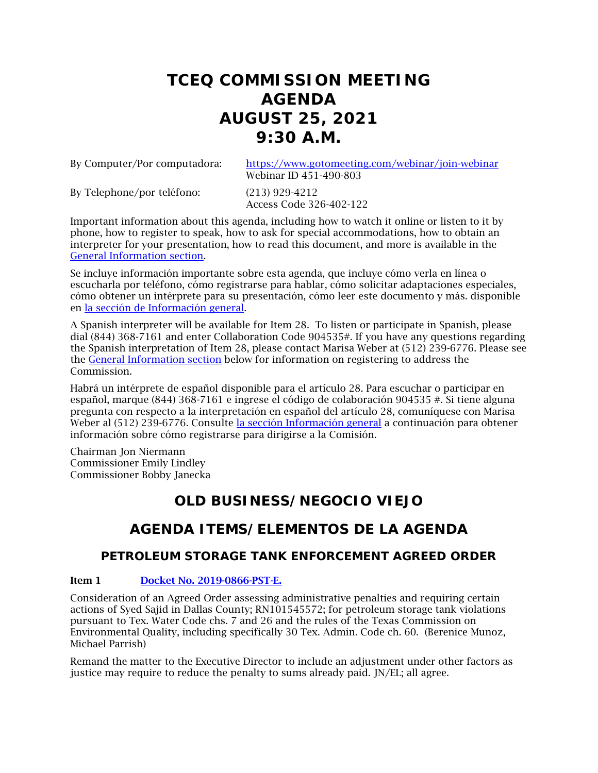# **TCEQ COMMISSION MEETING AGENDA AUGUST 25, 2021 9:30 A.M.**

By Computer/Por computadora: <https://www.gotomeeting.com/webinar/join-webinar> Webinar ID 451-490-803

By Telephone/por teléfono: (213) 929-4212

Access Code 326-402-122

Important information about this agenda, including how to watch it online or listen to it by phone, how to register to speak, how to ask for special accommodations, how to obtain an interpreter for your presentation, how to read this document, and more is available in the [General Information section.](#page-8-0)

Se incluye información importante sobre esta agenda, que incluye cómo verla en línea o escucharla por teléfono, cómo registrarse para hablar, cómo solicitar adaptaciones especiales, cómo obtener un intérprete para su presentación, cómo leer este documento y más. disponible en la sección de [Información general.](#page-8-0)

A Spanish interpreter will be available for Item 28. To listen or participate in Spanish, please dial (844) 368-7161 and enter Collaboration Code 904535#. If you have any questions regarding the Spanish interpretation of Item 28, please contact Marisa Weber at (512) 239-6776. Please see the [General Information section](#page-8-0) below for information on registering to address the Commission.

Habrá un intérprete de español disponible para el artículo 28. Para escuchar o participar en español, marque (844) 368-7161 e ingrese el código de colaboración 904535 #. Si tiene alguna pregunta con respecto a la interpretación en español del artículo 28, comuníquese con Marisa Weber al (512) 239-6776. Consulte [la sección Información general](#page-8-0) a continuación para obtener información sobre cómo registrarse para dirigirse a la Comisión.

Chairman Jon Niermann Commissioner Emily Lindley Commissioner Bobby Janecka

# **OLD BUSINESS/NEGOCIO VIEJO**

# **AGENDA ITEMS/ELEMENTOS DE LA AGENDA**

## **PETROLEUM STORAGE TANK ENFORCEMENT AGREED ORDER**

#### Item 1 [Docket No. 2019-0866-PST-E.](http://www.tceq.texas.gov/assets/public/comm_exec/agendas/comm/backup/Agendas/2021/08-25-2021/0866PST.pdf)

Consideration of an Agreed Order assessing administrative penalties and requiring certain actions of Syed Sajid in Dallas County; RN101545572; for petroleum storage tank violations pursuant to Tex. Water Code chs. 7 and 26 and the rules of the Texas Commission on Environmental Quality, including specifically 30 Tex. Admin. Code ch. 60. (Berenice Munoz, Michael Parrish)

Remand the matter to the Executive Director to include an adjustment under other factors as justice may require to reduce the penalty to sums already paid. JN/EL; all agree.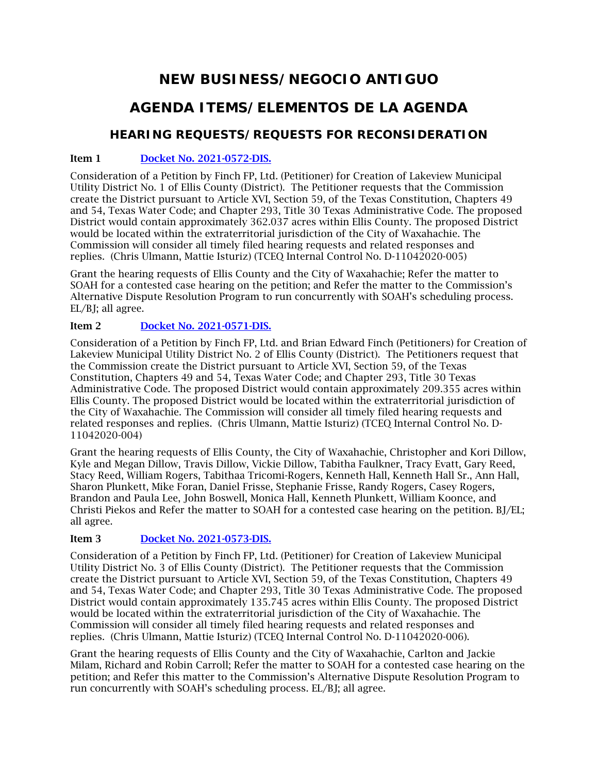# **NEW BUSINESS/NEGOCIO ANTIGUO**

# **AGENDA ITEMS/ELEMENTOS DE LA AGENDA**

## **HEARING REQUESTS/REQUESTS FOR RECONSIDERATION**

### Item 1 [Docket No. 2021-0572-DIS.](http://www.tceq.texas.gov/assets/public/comm_exec/agendas/comm/backup/Agendas/2021/08-25-2021/lakeview1.pdf)

Consideration of a Petition by Finch FP, Ltd. (Petitioner) for Creation of Lakeview Municipal Utility District No. 1 of Ellis County (District). The Petitioner requests that the Commission create the District pursuant to Article XVI, Section 59, of the Texas Constitution, Chapters 49 and 54, Texas Water Code; and Chapter 293, Title 30 Texas Administrative Code. The proposed District would contain approximately 362.037 acres within Ellis County. The proposed District would be located within the extraterritorial jurisdiction of the City of Waxahachie. The Commission will consider all timely filed hearing requests and related responses and replies. (Chris Ulmann, Mattie Isturiz) (TCEQ Internal Control No. D-11042020-005)

Grant the hearing requests of Ellis County and the City of Waxahachie; Refer the matter to SOAH for a contested case hearing on the petition; and Refer the matter to the Commission's Alternative Dispute Resolution Program to run concurrently with SOAH's scheduling process. EL/BJ; all agree.

## Item 2 [Docket No. 2021-0571-DIS.](http://www.tceq.texas.gov/assets/public/comm_exec/agendas/comm/backup/Agendas/2021/08-25-2021/lakeview2.pdf)

Consideration of a Petition by Finch FP, Ltd. and Brian Edward Finch (Petitioners) for Creation of Lakeview Municipal Utility District No. 2 of Ellis County (District). The Petitioners request that the Commission create the District pursuant to Article XVI, Section 59, of the Texas Constitution, Chapters 49 and 54, Texas Water Code; and Chapter 293, Title 30 Texas Administrative Code. The proposed District would contain approximately 209.355 acres within Ellis County. The proposed District would be located within the extraterritorial jurisdiction of the City of Waxahachie. The Commission will consider all timely filed hearing requests and related responses and replies. (Chris Ulmann, Mattie Isturiz) (TCEQ Internal Control No. D-11042020-004)

Grant the hearing requests of Ellis County, the City of Waxahachie, Christopher and Kori Dillow, Kyle and Megan Dillow, Travis Dillow, Vickie Dillow, Tabitha Faulkner, Tracy Evatt, Gary Reed, Stacy Reed, William Rogers, Tabithaa Tricomi-Rogers, Kenneth Hall, Kenneth Hall Sr., Ann Hall, Sharon Plunkett, Mike Foran, Daniel Frisse, Stephanie Frisse, Randy Rogers, Casey Rogers, Brandon and Paula Lee, John Boswell, Monica Hall, Kenneth Plunkett, William Koonce, and Christi Piekos and Refer the matter to SOAH for a contested case hearing on the petition. BJ/EL; all agree.

## Item 3 [Docket No. 2021-0573-DIS.](http://www.tceq.texas.gov/assets/public/comm_exec/agendas/comm/backup/Agendas/2021/08-25-2021/lakeview3.pdf)

Consideration of a Petition by Finch FP, Ltd. (Petitioner) for Creation of Lakeview Municipal Utility District No. 3 of Ellis County (District). The Petitioner requests that the Commission create the District pursuant to Article XVI, Section 59, of the Texas Constitution, Chapters 49 and 54, Texas Water Code; and Chapter 293, Title 30 Texas Administrative Code. The proposed District would contain approximately 135.745 acres within Ellis County. The proposed District would be located within the extraterritorial jurisdiction of the City of Waxahachie. The Commission will consider all timely filed hearing requests and related responses and replies. (Chris Ulmann, Mattie Isturiz) (TCEQ Internal Control No. D-11042020-006).

Grant the hearing requests of Ellis County and the City of Waxahachie, Carlton and Jackie Milam, Richard and Robin Carroll; Refer the matter to SOAH for a contested case hearing on the petition; and Refer this matter to the Commission's Alternative Dispute Resolution Program to run concurrently with SOAH's scheduling process. EL/BJ; all agree.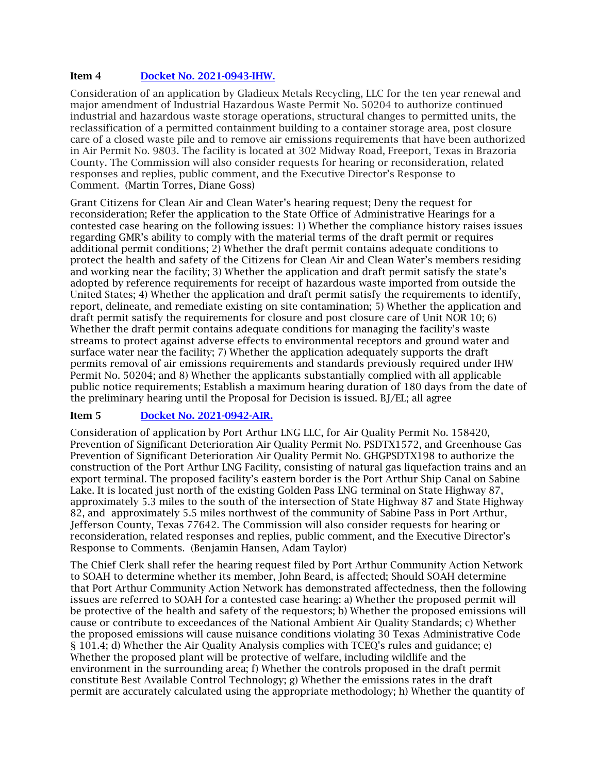#### Item 4 [Docket No. 2021-0943-IHW.](http://www.tceq.texas.gov/assets/public/comm_exec/agendas/comm/backup/Agendas/2021/08-25-2021/gladieux.pdf)

Consideration of an application by Gladieux Metals Recycling, LLC for the ten year renewal and major amendment of Industrial Hazardous Waste Permit No. 50204 to authorize continued industrial and hazardous waste storage operations, structural changes to permitted units, the reclassification of a permitted containment building to a container storage area, post closure care of a closed waste pile and to remove air emissions requirements that have been authorized in Air Permit No. 9803. The facility is located at 302 Midway Road, Freeport, Texas in Brazoria County. The Commission will also consider requests for hearing or reconsideration, related responses and replies, public comment, and the Executive Director's Response to Comment. (Martin Torres, Diane Goss)

Grant Citizens for Clean Air and Clean Water's hearing request; Deny the request for reconsideration; Refer the application to the State Office of Administrative Hearings for a contested case hearing on the following issues: 1) Whether the compliance history raises issues regarding GMR's ability to comply with the material terms of the draft permit or requires additional permit conditions; 2) Whether the draft permit contains adequate conditions to protect the health and safety of the Citizens for Clean Air and Clean Water's members residing and working near the facility; 3) Whether the application and draft permit satisfy the state's adopted by reference requirements for receipt of hazardous waste imported from outside the United States; 4) Whether the application and draft permit satisfy the requirements to identify, report, delineate, and remediate existing on site contamination; 5) Whether the application and draft permit satisfy the requirements for closure and post closure care of Unit NOR 10; 6) Whether the draft permit contains adequate conditions for managing the facility's waste streams to protect against adverse effects to environmental receptors and ground water and surface water near the facility; 7) Whether the application adequately supports the draft permits removal of air emissions requirements and standards previously required under IHW Permit No. 50204; and 8) Whether the applicants substantially complied with all applicable public notice requirements; Establish a maximum hearing duration of 180 days from the date of the preliminary hearing until the Proposal for Decision is issued. BJ/EL; all agree

#### Item 5 [Docket No. 2021-0942-AIR.](http://www.tceq.texas.gov/assets/public/comm_exec/agendas/comm/backup/Agendas/2021/08-25-2021/port%20arthur.pdf)

Consideration of application by Port Arthur LNG LLC, for Air Quality Permit No. 158420, Prevention of Significant Deterioration Air Quality Permit No. PSDTX1572, and Greenhouse Gas Prevention of Significant Deterioration Air Quality Permit No. GHGPSDTX198 to authorize the construction of the Port Arthur LNG Facility, consisting of natural gas liquefaction trains and an export terminal. The proposed facility's eastern border is the Port Arthur Ship Canal on Sabine Lake. It is located just north of the existing Golden Pass LNG terminal on State Highway 87, approximately 5.3 miles to the south of the intersection of State Highway 87 and State Highway 82, and approximately 5.5 miles northwest of the community of Sabine Pass in Port Arthur, Jefferson County, Texas 77642. The Commission will also consider requests for hearing or reconsideration, related responses and replies, public comment, and the Executive Director's Response to Comments. (Benjamin Hansen, Adam Taylor)

The Chief Clerk shall refer the hearing request filed by Port Arthur Community Action Network to SOAH to determine whether its member, John Beard, is affected; Should SOAH determine that Port Arthur Community Action Network has demonstrated affectedness, then the following issues are referred to SOAH for a contested case hearing: a) Whether the proposed permit will be protective of the health and safety of the requestors; b) Whether the proposed emissions will cause or contribute to exceedances of the National Ambient Air Quality Standards; c) Whether the proposed emissions will cause nuisance conditions violating 30 Texas Administrative Code § 101.4; d) Whether the Air Quality Analysis complies with TCEQ's rules and guidance; e) Whether the proposed plant will be protective of welfare, including wildlife and the environment in the surrounding area; f) Whether the controls proposed in the draft permit constitute Best Available Control Technology; g) Whether the emissions rates in the draft permit are accurately calculated using the appropriate methodology; h) Whether the quantity of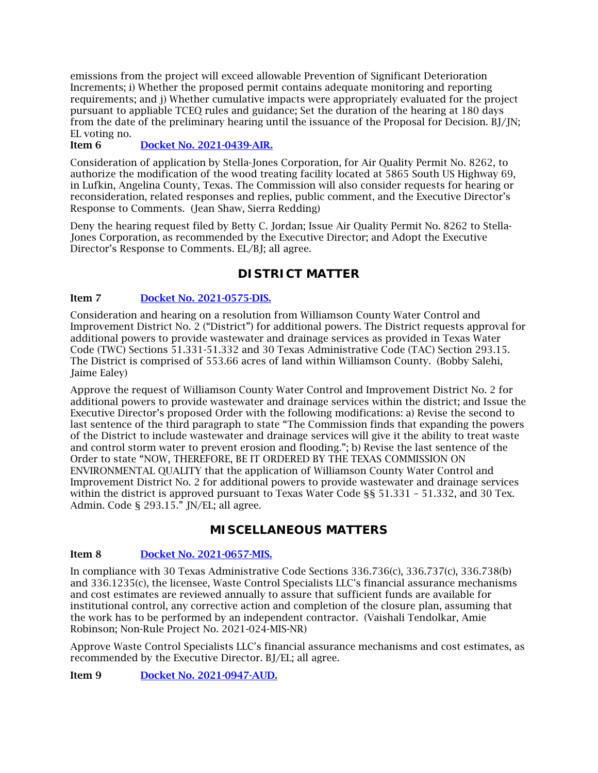emissions from the project will exceed allowable Prevention of Significant Deterioration Increments; i) Whether the proposed permit contains adequate monitoring and reporting requirements; and j) Whether cumulative impacts were appropriately evaluated for the project pursuant to appliable TCEQ rules and guidance; Set the duration of the hearing at 180 days from the date of the preliminary hearing until the issuance of the Proposal for Decision. BJ/JN; EL voting no.

#### Item 6 [Docket No. 2021-0439-AIR.](http://www.tceq.texas.gov/assets/public/comm_exec/agendas/comm/backup/Agendas/2021/08-25-2021/mcfarland.pdf)

Consideration of application by Stella-Jones Corporation, for Air Quality Permit No. 8262, to authorize the modification of the wood treating facility located at 5865 South US Highway 69, in Lufkin, Angelina County, Texas. The Commission will also consider requests for hearing or reconsideration, related responses and replies, public comment, and the Executive Director's Response to Comments. (Jean Shaw, Sierra Redding)

Deny the hearing request filed by Betty C. Jordan; Issue Air Quality Permit No. 8262 to Stella-Jones Corporation, as recommended by the Executive Director; and Adopt the Executive Director's Response to Comments. EL/BJ; all agree.

## **DISTRICT MATTER**

#### Item 7 [Docket No. 2021-0575-DIS.](http://www.tceq.texas.gov/assets/public/comm_exec/agendas/comm/backup/Agendas/2021/08-25-2021/0575DIS.pdf)

Consideration and hearing on a resolution from Williamson County Water Control and Improvement District No. 2 ("District") for additional powers. The District requests approval for additional powers to provide wastewater and drainage services as provided in Texas Water Code (TWC) Sections 51.331-51.332 and 30 Texas Administrative Code (TAC) Section 293.15. The District is comprised of 553.66 acres of land within Williamson County. (Bobby Salehi, Jaime Ealey)

Approve the request of Williamson County Water Control and Improvement District No. 2 for additional powers to provide wastewater and drainage services within the district; and Issue the Executive Director's proposed Order with the following modifications: a) Revise the second to last sentence of the third paragraph to state "The Commission finds that expanding the powers of the District to include wastewater and drainage services will give it the ability to treat waste and control storm water to prevent erosion and flooding."; b) Revise the last sentence of the Order to state "NOW, THEREFORE, BE IT ORDERED BY THE TEXAS COMMISSION ON ENVIRONMENTAL QUALITY that the application of Williamson County Water Control and Improvement District No. 2 for additional powers to provide wastewater and drainage services within the district is approved pursuant to Texas Water Code §§ 51.331 - 51.332, and 30 Tex. Admin. Code § 293.15." JN/EL; all agree.

## **MISCELLANEOUS MATTERS**

#### Item 8 [Docket No. 2021-0657-MIS.](http://www.tceq.texas.gov/assets/public/comm_exec/agendas/comm/backup/Agendas/2021/08-25-2021/0657MIS.pdf)

In compliance with 30 Texas Administrative Code Sections 336.736(c), 336.737(c), 336.738(b) and 336.1235(c), the licensee, Waste Control Specialists LLC's financial assurance mechanisms and cost estimates are reviewed annually to assure that sufficient funds are available for institutional control, any corrective action and completion of the closure plan, assuming that the work has to be performed by an independent contractor. (Vaishali Tendolkar, Amie Robinson; Non-Rule Project No. 2021-024-MIS-NR)

Approve Waste Control Specialists LLC's financial assurance mechanisms and cost estimates, as recommended by the Executive Director. BJ/EL; all agree.

Item 9 [Docket No. 2021-0947-AUD.](http://www.tceq.texas.gov/assets/public/comm_exec/agendas/comm/backup/Agendas/2021/08-25-2021/0947AUD.pdf)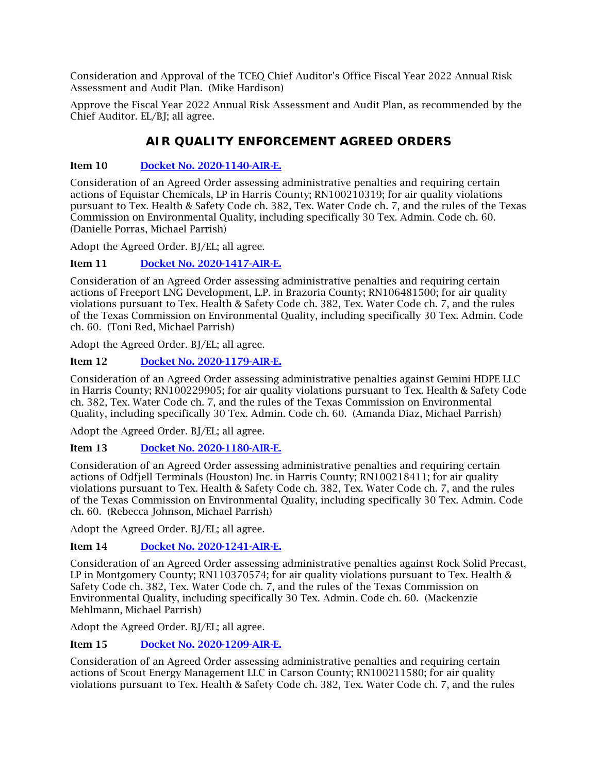Consideration and Approval of the TCEQ Chief Auditor's Office Fiscal Year 2022 Annual Risk Assessment and Audit Plan. (Mike Hardison)

Approve the Fiscal Year 2022 Annual Risk Assessment and Audit Plan, as recommended by the Chief Auditor. EL/BJ; all agree.

## **AIR QUALITY ENFORCEMENT AGREED ORDERS**

#### Item 10 [Docket No. 2020-1140-AIR-E.](http://www.tceq.texas.gov/assets/public/comm_exec/agendas/comm/backup/Agendas/2021/08-25-2021/1140AIR.pdf)

Consideration of an Agreed Order assessing administrative penalties and requiring certain actions of Equistar Chemicals, LP in Harris County; RN100210319; for air quality violations pursuant to Tex. Health & Safety Code ch. 382, Tex. Water Code ch. 7, and the rules of the Texas Commission on Environmental Quality, including specifically 30 Tex. Admin. Code ch. 60. (Danielle Porras, Michael Parrish)

Adopt the Agreed Order. BJ/EL; all agree.

#### Item 11 [Docket No. 2020-1417-AIR-E.](http://www.tceq.texas.gov/assets/public/comm_exec/agendas/comm/backup/Agendas/2021/08-25-2021/1417AIR.pdf)

Consideration of an Agreed Order assessing administrative penalties and requiring certain actions of Freeport LNG Development, L.P. in Brazoria County; RN106481500; for air quality violations pursuant to Tex. Health & Safety Code ch. 382, Tex. Water Code ch. 7, and the rules of the Texas Commission on Environmental Quality, including specifically 30 Tex. Admin. Code ch. 60. (Toni Red, Michael Parrish)

Adopt the Agreed Order. BJ/EL; all agree.

### Item 12 [Docket No. 2020-1179-AIR-E.](http://www.tceq.texas.gov/assets/public/comm_exec/agendas/comm/backup/Agendas/2021/08-25-2021/1179AIR.pdf)

Consideration of an Agreed Order assessing administrative penalties against Gemini HDPE LLC in Harris County; RN100229905; for air quality violations pursuant to Tex. Health & Safety Code ch. 382, Tex. Water Code ch. 7, and the rules of the Texas Commission on Environmental Quality, including specifically 30 Tex. Admin. Code ch. 60. (Amanda Diaz, Michael Parrish)

Adopt the Agreed Order. BJ/EL; all agree.

Item 13 [Docket No. 2020-1180-AIR-E.](http://www.tceq.texas.gov/assets/public/comm_exec/agendas/comm/backup/Agendas/2021/08-25-2021/1180AIR.pdf)

Consideration of an Agreed Order assessing administrative penalties and requiring certain actions of Odfjell Terminals (Houston) Inc. in Harris County; RN100218411; for air quality violations pursuant to Tex. Health & Safety Code ch. 382, Tex. Water Code ch. 7, and the rules of the Texas Commission on Environmental Quality, including specifically 30 Tex. Admin. Code ch. 60. (Rebecca Johnson, Michael Parrish)

Adopt the Agreed Order. BJ/EL; all agree.

#### Item 14 [Docket No. 2020-1241-AIR-E.](http://www.tceq.texas.gov/assets/public/comm_exec/agendas/comm/backup/Agendas/2021/08-25-2021/1241AIR.pdf)

Consideration of an Agreed Order assessing administrative penalties against Rock Solid Precast, LP in Montgomery County; RN110370574; for air quality violations pursuant to Tex. Health & Safety Code ch. 382, Tex. Water Code ch. 7, and the rules of the Texas Commission on Environmental Quality, including specifically 30 Tex. Admin. Code ch. 60. (Mackenzie Mehlmann, Michael Parrish)

Adopt the Agreed Order. BJ/EL; all agree.

#### Item 15 [Docket No. 2020-1209-AIR-E.](http://www.tceq.texas.gov/assets/public/comm_exec/agendas/comm/backup/Agendas/2021/08-25-2021/1209AIR.pdf)

Consideration of an Agreed Order assessing administrative penalties and requiring certain actions of Scout Energy Management LLC in Carson County; RN100211580; for air quality violations pursuant to Tex. Health & Safety Code ch. 382, Tex. Water Code ch. 7, and the rules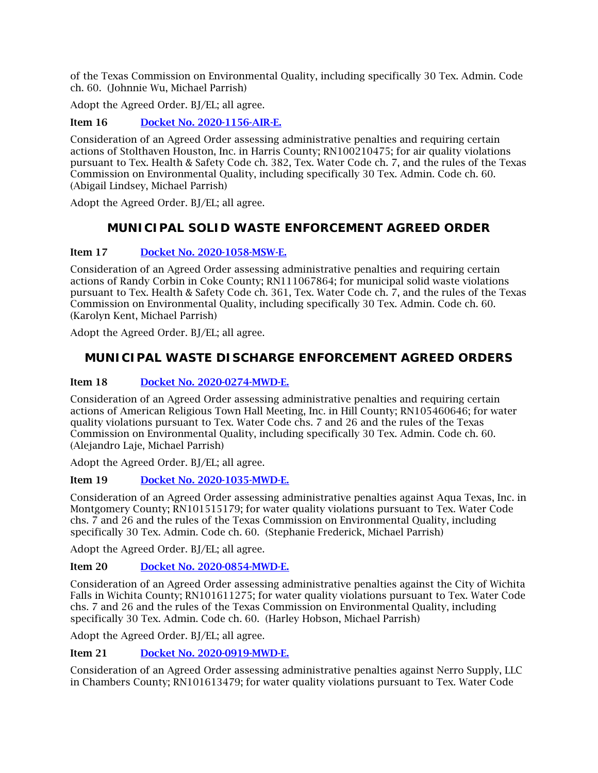of the Texas Commission on Environmental Quality, including specifically 30 Tex. Admin. Code ch. 60. (Johnnie Wu, Michael Parrish)

Adopt the Agreed Order. BJ/EL; all agree.

Item 16 [Docket No. 2020-1156-AIR-E.](http://www.tceq.texas.gov/assets/public/comm_exec/agendas/comm/backup/Agendas/2021/08-25-2021/1156AIR.pdf)

Consideration of an Agreed Order assessing administrative penalties and requiring certain actions of Stolthaven Houston, Inc. in Harris County; RN100210475; for air quality violations pursuant to Tex. Health & Safety Code ch. 382, Tex. Water Code ch. 7, and the rules of the Texas Commission on Environmental Quality, including specifically 30 Tex. Admin. Code ch. 60. (Abigail Lindsey, Michael Parrish)

Adopt the Agreed Order. BJ/EL; all agree.

## **MUNICIPAL SOLID WASTE ENFORCEMENT AGREED ORDER**

### Item 17 [Docket No. 2020-1058-MSW-E.](http://www.tceq.texas.gov/assets/public/comm_exec/agendas/comm/backup/Agendas/2021/08-25-2021/1058MSW.pdf)

Consideration of an Agreed Order assessing administrative penalties and requiring certain actions of Randy Corbin in Coke County; RN111067864; for municipal solid waste violations pursuant to Tex. Health & Safety Code ch. 361, Tex. Water Code ch. 7, and the rules of the Texas Commission on Environmental Quality, including specifically 30 Tex. Admin. Code ch. 60. (Karolyn Kent, Michael Parrish)

Adopt the Agreed Order. BJ/EL; all agree.

## **MUNICIPAL WASTE DISCHARGE ENFORCEMENT AGREED ORDERS**

#### Item 18 [Docket No. 2020-0274-MWD-E.](http://www.tceq.texas.gov/assets/public/comm_exec/agendas/comm/backup/Agendas/2021/08-25-2021/0274MWD.pdf)

Consideration of an Agreed Order assessing administrative penalties and requiring certain actions of American Religious Town Hall Meeting, Inc. in Hill County; RN105460646; for water quality violations pursuant to Tex. Water Code chs. 7 and 26 and the rules of the Texas Commission on Environmental Quality, including specifically 30 Tex. Admin. Code ch. 60. (Alejandro Laje, Michael Parrish)

Adopt the Agreed Order. BJ/EL; all agree.

#### Item 19 [Docket No. 2020-1035-MWD-E.](http://www.tceq.texas.gov/assets/public/comm_exec/agendas/comm/backup/Agendas/2021/08-25-2021/1035MWD.pdf)

Consideration of an Agreed Order assessing administrative penalties against Aqua Texas, Inc. in Montgomery County; RN101515179; for water quality violations pursuant to Tex. Water Code chs. 7 and 26 and the rules of the Texas Commission on Environmental Quality, including specifically 30 Tex. Admin. Code ch. 60. (Stephanie Frederick, Michael Parrish)

Adopt the Agreed Order. BJ/EL; all agree.

Item 20 [Docket No. 2020-0854-MWD-E.](http://www.tceq.texas.gov/assets/public/comm_exec/agendas/comm/backup/Agendas/2021/08-25-2021/0854MWD.pdf)

Consideration of an Agreed Order assessing administrative penalties against the City of Wichita Falls in Wichita County; RN101611275; for water quality violations pursuant to Tex. Water Code chs. 7 and 26 and the rules of the Texas Commission on Environmental Quality, including specifically 30 Tex. Admin. Code ch. 60. (Harley Hobson, Michael Parrish)

Adopt the Agreed Order. BJ/EL; all agree.

Item 21 [Docket No. 2020-0919-MWD-E.](http://www.tceq.texas.gov/assets/public/comm_exec/agendas/comm/backup/Agendas/2021/08-25-2021/0919MWD.pdf)

Consideration of an Agreed Order assessing administrative penalties against Nerro Supply, LLC in Chambers County; RN101613479; for water quality violations pursuant to Tex. Water Code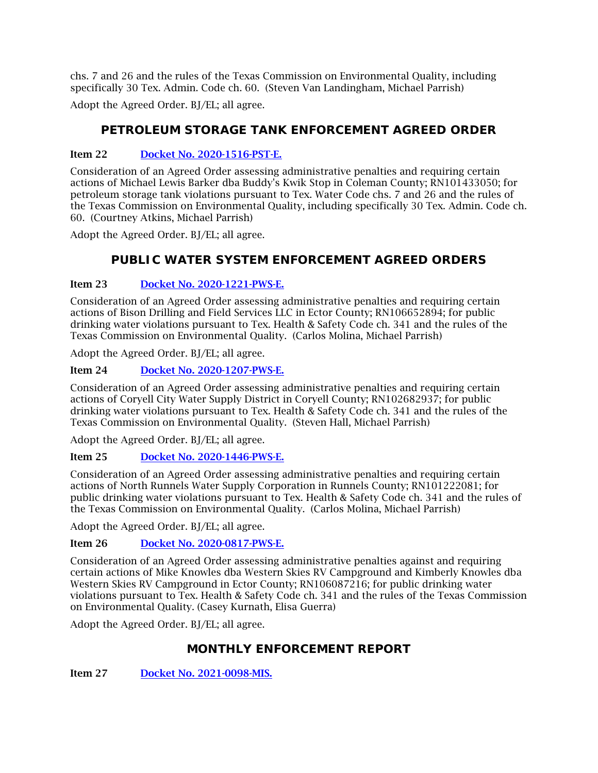chs. 7 and 26 and the rules of the Texas Commission on Environmental Quality, including specifically 30 Tex. Admin. Code ch. 60. (Steven Van Landingham, Michael Parrish)

Adopt the Agreed Order. BJ/EL; all agree.

## **PETROLEUM STORAGE TANK ENFORCEMENT AGREED ORDER**

### Item 22 [Docket No. 2020-1516-PST-E.](http://www.tceq.texas.gov/assets/public/comm_exec/agendas/comm/backup/Agendas/2021/08-25-2021/1516PST.pdf)

Consideration of an Agreed Order assessing administrative penalties and requiring certain actions of Michael Lewis Barker dba Buddy's Kwik Stop in Coleman County; RN101433050; for petroleum storage tank violations pursuant to Tex. Water Code chs. 7 and 26 and the rules of the Texas Commission on Environmental Quality, including specifically 30 Tex. Admin. Code ch. 60. (Courtney Atkins, Michael Parrish)

Adopt the Agreed Order. BJ/EL; all agree.

## **PUBLIC WATER SYSTEM ENFORCEMENT AGREED ORDERS**

### Item 23 [Docket No. 2020-1221-PWS-E.](http://www.tceq.texas.gov/assets/public/comm_exec/agendas/comm/backup/Agendas/2021/08-25-2021/1221PWS.pdf)

Consideration of an Agreed Order assessing administrative penalties and requiring certain actions of Bison Drilling and Field Services LLC in Ector County; RN106652894; for public drinking water violations pursuant to Tex. Health & Safety Code ch. 341 and the rules of the Texas Commission on Environmental Quality. (Carlos Molina, Michael Parrish)

Adopt the Agreed Order. BJ/EL; all agree.

### Item 24 [Docket No. 2020-1207-PWS-E.](http://www.tceq.texas.gov/assets/public/comm_exec/agendas/comm/backup/Agendas/2021/08-25-2021/1207PWS.pdf)

Consideration of an Agreed Order assessing administrative penalties and requiring certain actions of Coryell City Water Supply District in Coryell County; RN102682937; for public drinking water violations pursuant to Tex. Health & Safety Code ch. 341 and the rules of the Texas Commission on Environmental Quality. (Steven Hall, Michael Parrish)

Adopt the Agreed Order. BJ/EL; all agree.

## Item 25 [Docket No. 2020-1446-PWS-E.](http://www.tceq.texas.gov/assets/public/comm_exec/agendas/comm/backup/Agendas/2021/08-25-2021/1446PWS.pdf)

Consideration of an Agreed Order assessing administrative penalties and requiring certain actions of North Runnels Water Supply Corporation in Runnels County; RN101222081; for public drinking water violations pursuant to Tex. Health & Safety Code ch. 341 and the rules of the Texas Commission on Environmental Quality. (Carlos Molina, Michael Parrish)

Adopt the Agreed Order. BJ/EL; all agree.

#### Item 26 [Docket No. 2020-0817-PWS-E.](http://www.tceq.texas.gov/assets/public/comm_exec/agendas/comm/backup/Agendas/2021/08-25-2021/0817PWS.pdf)

Consideration of an Agreed Order assessing administrative penalties against and requiring certain actions of Mike Knowles dba Western Skies RV Campground and Kimberly Knowles dba Western Skies RV Campground in Ector County; RN106087216; for public drinking water violations pursuant to Tex. Health & Safety Code ch. 341 and the rules of the Texas Commission on Environmental Quality. (Casey Kurnath, Elisa Guerra)

Adopt the Agreed Order. BJ/EL; all agree.

## **MONTHLY ENFORCEMENT REPORT**

Item 27 [Docket No. 2021-0098-MIS.](http://www.tceq.texas.gov/assets/public/comm_exec/agendas/comm/backup/Agendas/2021/08-25-2021/0098MIS.pdf)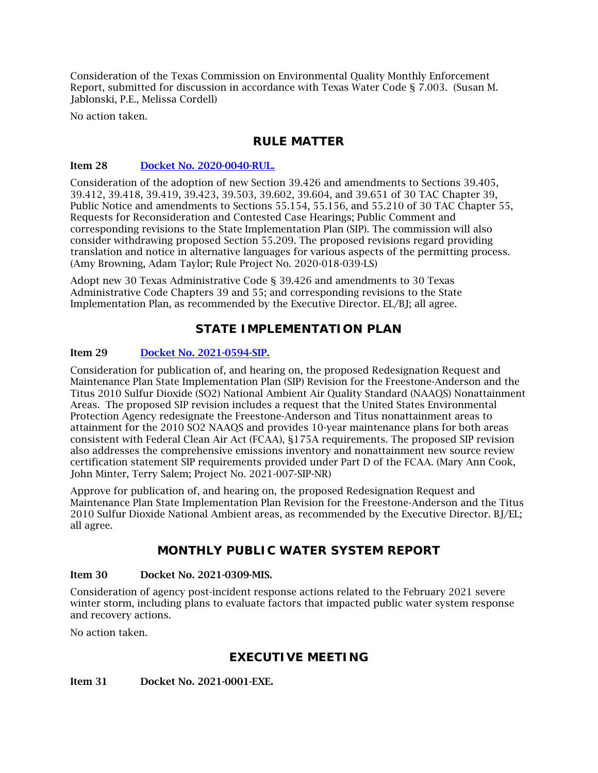Consideration of the Texas Commission on Environmental Quality Monthly Enforcement Report, submitted for discussion in accordance with Texas Water Code § 7.003. (Susan M. Jablonski, P.E., Melissa Cordell)

No action taken.

## **RULE MATTER**

#### Item 28 [Docket No. 2020-0040-RUL.](http://www.tceq.texas.gov/assets/public/comm_exec/agendas/comm/backup/Agendas/2021/08-25-2021/0040RUL.pdf)

Consideration of the adoption of new Section 39.426 and amendments to Sections 39.405, 39.412, 39.418, 39.419, 39.423, 39.503, 39.602, 39.604, and 39.651 of 30 TAC Chapter 39, Public Notice and amendments to Sections 55.154, 55.156, and 55.210 of 30 TAC Chapter 55, Requests for Reconsideration and Contested Case Hearings; Public Comment and corresponding revisions to the State Implementation Plan (SIP). The commission will also consider withdrawing proposed Section 55.209. The proposed revisions regard providing translation and notice in alternative languages for various aspects of the permitting process. (Amy Browning, Adam Taylor; Rule Project No. 2020-018-039-LS)

Adopt new 30 Texas Administrative Code § 39.426 and amendments to 30 Texas Administrative Code Chapters 39 and 55; and corresponding revisions to the State Implementation Plan, as recommended by the Executive Director. EL/BI: all agree.

## **STATE IMPLEMENTATION PLAN**

#### Item 29 [Docket No. 2021-0594-SIP.](http://www.tceq.texas.gov/assets/public/comm_exec/agendas/comm/backup/Agendas/2021/08-25-2021/0594SIP.pdf)

Consideration for publication of, and hearing on, the proposed Redesignation Request and Maintenance Plan State Implementation Plan (SIP) Revision for the Freestone-Anderson and the Titus 2010 Sulfur Dioxide (SO2) National Ambient Air Quality Standard (NAAQS) Nonattainment Areas. The proposed SIP revision includes a request that the United States Environmental Protection Agency redesignate the Freestone-Anderson and Titus nonattainment areas to attainment for the 2010 SO2 NAAQS and provides 10-year maintenance plans for both areas consistent with Federal Clean Air Act (FCAA), §175A requirements. The proposed SIP revision also addresses the comprehensive emissions inventory and nonattainment new source review certification statement SIP requirements provided under Part D of the FCAA. (Mary Ann Cook, John Minter, Terry Salem; Project No. 2021-007-SIP-NR)

Approve for publication of, and hearing on, the proposed Redesignation Request and Maintenance Plan State Implementation Plan Revision for the Freestone-Anderson and the Titus 2010 Sulfur Dioxide National Ambient areas, as recommended by the Executive Director. BJ/EL; all agree.

## **MONTHLY PUBLIC WATER SYSTEM REPORT**

#### Item 30 Docket No. 2021-0309-MIS.

Consideration of agency post-incident response actions related to the February 2021 severe winter storm, including plans to evaluate factors that impacted public water system response and recovery actions.

No action taken.

## **EXECUTIVE MEETING**

Item 31 Docket No. 2021-0001-EXE.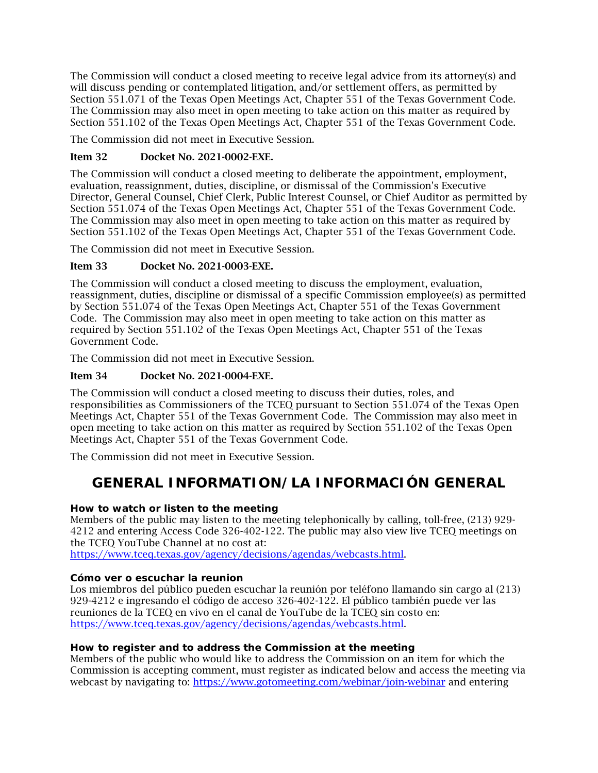The Commission will conduct a closed meeting to receive legal advice from its attorney(s) and will discuss pending or contemplated litigation, and/or settlement offers, as permitted by Section 551.071 of the Texas Open Meetings Act, Chapter 551 of the Texas Government Code. The Commission may also meet in open meeting to take action on this matter as required by Section 551.102 of the Texas Open Meetings Act, Chapter 551 of the Texas Government Code.

The Commission did not meet in Executive Session.

### Item 32 Docket No. 2021-0002-EXE.

The Commission will conduct a closed meeting to deliberate the appointment, employment, evaluation, reassignment, duties, discipline, or dismissal of the Commission's Executive Director, General Counsel, Chief Clerk, Public Interest Counsel, or Chief Auditor as permitted by Section 551.074 of the Texas Open Meetings Act, Chapter 551 of the Texas Government Code. The Commission may also meet in open meeting to take action on this matter as required by Section 551.102 of the Texas Open Meetings Act, Chapter 551 of the Texas Government Code.

The Commission did not meet in Executive Session.

### Item 33 Docket No. 2021-0003-EXE.

The Commission will conduct a closed meeting to discuss the employment, evaluation, reassignment, duties, discipline or dismissal of a specific Commission employee(s) as permitted by Section 551.074 of the Texas Open Meetings Act, Chapter 551 of the Texas Government Code. The Commission may also meet in open meeting to take action on this matter as required by Section 551.102 of the Texas Open Meetings Act, Chapter 551 of the Texas Government Code.

The Commission did not meet in Executive Session.

### Item 34 Docket No. 2021-0004-EXE.

The Commission will conduct a closed meeting to discuss their duties, roles, and responsibilities as Commissioners of the TCEQ pursuant to Section 551.074 of the Texas Open Meetings Act, Chapter 551 of the Texas Government Code. The Commission may also meet in open meeting to take action on this matter as required by Section 551.102 of the Texas Open Meetings Act, Chapter 551 of the Texas Government Code.

<span id="page-8-0"></span>The Commission did not meet in Executive Session.

# **GENERAL INFORMATION/LA INFORMACIÓN GENERAL**

#### **How to watch or listen to the meeting**

Members of the public may listen to the meeting telephonically by calling, toll-free, (213) 929- 4212 and entering Access Code 326-402-122. The public may also view live TCEQ meetings on the TCEQ YouTube Channel at no cost at:

[https://www.tceq.texas.gov/agency/decisions/agendas/webcasts.html.](https://www.tceq.texas.gov/agency/decisions/agendas/webcasts.html)

#### **Cómo ver o escuchar la reunion**

Los miembros del público pueden escuchar la reunión por teléfono llamando sin cargo al (213) 929-4212 e ingresando el código de acceso 326-402-122. El público también puede ver las reuniones de la TCEQ en vivo en el canal de YouTube de la TCEQ sin costo en: [https://www.tceq.texas.gov/agency/decisions/agendas/webcasts.html.](https://www.tceq.texas.gov/agency/decisions/agendas/webcasts.html)

#### **How to register and to address the Commission at the meeting**

Members of the public who would like to address the Commission on an item for which the Commission is accepting comment, must register as indicated below and access the meeting via webcast by navigating to:<https://www.gotomeeting.com/webinar/join-webinar> and entering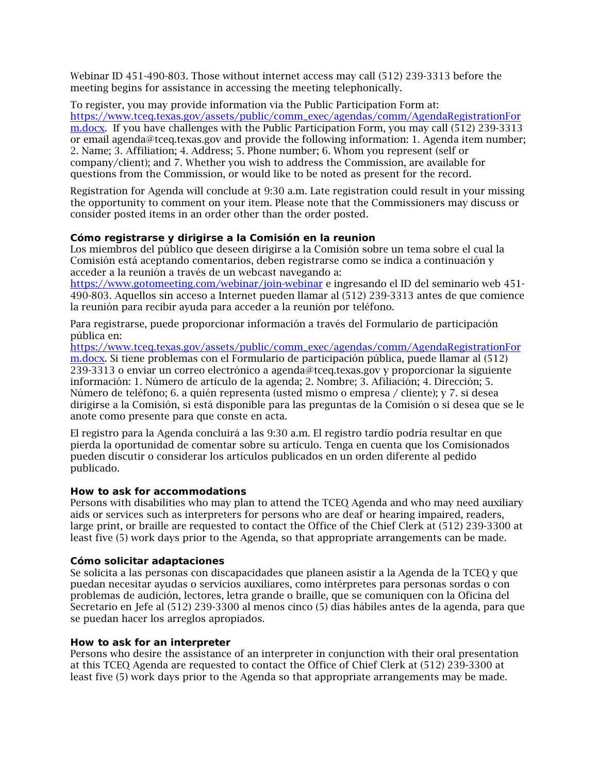Webinar ID 451-490-803. Those without internet access may call (512) 239-3313 before the meeting begins for assistance in accessing the meeting telephonically.

To register, you may provide information via the Public Participation Form at: [https://www.tceq.texas.gov/assets/public/comm\\_exec/agendas/comm/AgendaRegistrationFor](https://www.tceq.texas.gov/assets/public/comm_exec/agendas/comm/AgendaRegistrationForm.docx) [m.docx.](https://www.tceq.texas.gov/assets/public/comm_exec/agendas/comm/AgendaRegistrationForm.docx) If you have challenges with the Public Participation Form, you may call (512) 239-3313 or email agenda@tceq.texas.gov and provide the following information: 1. Agenda item number; 2. Name; 3. Affiliation; 4. Address; 5. Phone number; 6. Whom you represent (self or company/client); and 7. Whether you wish to address the Commission, are available for questions from the Commission, or would like to be noted as present for the record.

Registration for Agenda will conclude at 9:30 a.m. Late registration could result in your missing the opportunity to comment on your item. Please note that the Commissioners may discuss or consider posted items in an order other than the order posted.

#### **Cómo registrarse y dirigirse a la Comisión en la reunion**

Los miembros del público que deseen dirigirse a la Comisión sobre un tema sobre el cual la Comisión está aceptando comentarios, deben registrarse como se indica a continuación y acceder a la reunión a través de un webcast navegando a:

<https://www.gotomeeting.com/webinar/join-webinar> e ingresando el ID del seminario web 451- 490-803. Aquellos sin acceso a Internet pueden llamar al (512) 239-3313 antes de que comience la reunión para recibir ayuda para acceder a la reunión por teléfono.

Para registrarse, puede proporcionar información a través del Formulario de participación pública en:

[https://www.tceq.texas.gov/assets/public/comm\\_exec/agendas/comm/AgendaRegistrationFor](https://www.tceq.texas.gov/assets/public/comm_exec/agendas/comm/AgendaRegistrationForm.docx) [m.docx.](https://www.tceq.texas.gov/assets/public/comm_exec/agendas/comm/AgendaRegistrationForm.docx) Si tiene problemas con el Formulario de participación pública, puede llamar al (512) 239-3313 o enviar un correo electrónico a agenda@tceq.texas.gov y proporcionar la siguiente información: 1. Número de artículo de la agenda; 2. Nombre; 3. Afiliación; 4. Dirección; 5. Número de teléfono; 6. a quién representa (usted mismo o empresa / cliente); y 7. si desea dirigirse a la Comisión, si está disponible para las preguntas de la Comisión o si desea que se le anote como presente para que conste en acta.

El registro para la Agenda concluirá a las 9:30 a.m. El registro tardío podría resultar en que pierda la oportunidad de comentar sobre su artículo. Tenga en cuenta que los Comisionados pueden discutir o considerar los artículos publicados en un orden diferente al pedido publicado.

#### **How to ask for accommodations**

Persons with disabilities who may plan to attend the TCEQ Agenda and who may need auxiliary aids or services such as interpreters for persons who are deaf or hearing impaired, readers, large print, or braille are requested to contact the Office of the Chief Clerk at (512) 239-3300 at least five (5) work days prior to the Agenda, so that appropriate arrangements can be made.

#### **Cómo solicitar adaptaciones**

Se solicita a las personas con discapacidades que planeen asistir a la Agenda de la TCEQ y que puedan necesitar ayudas o servicios auxiliares, como intérpretes para personas sordas o con problemas de audición, lectores, letra grande o braille, que se comuniquen con la Oficina del Secretario en Jefe al (512) 239-3300 al menos cinco (5) días hábiles antes de la agenda, para que se puedan hacer los arreglos apropiados.

#### **How to ask for an interpreter**

Persons who desire the assistance of an interpreter in conjunction with their oral presentation at this TCEQ Agenda are requested to contact the Office of Chief Clerk at (512) 239-3300 at least five (5) work days prior to the Agenda so that appropriate arrangements may be made.